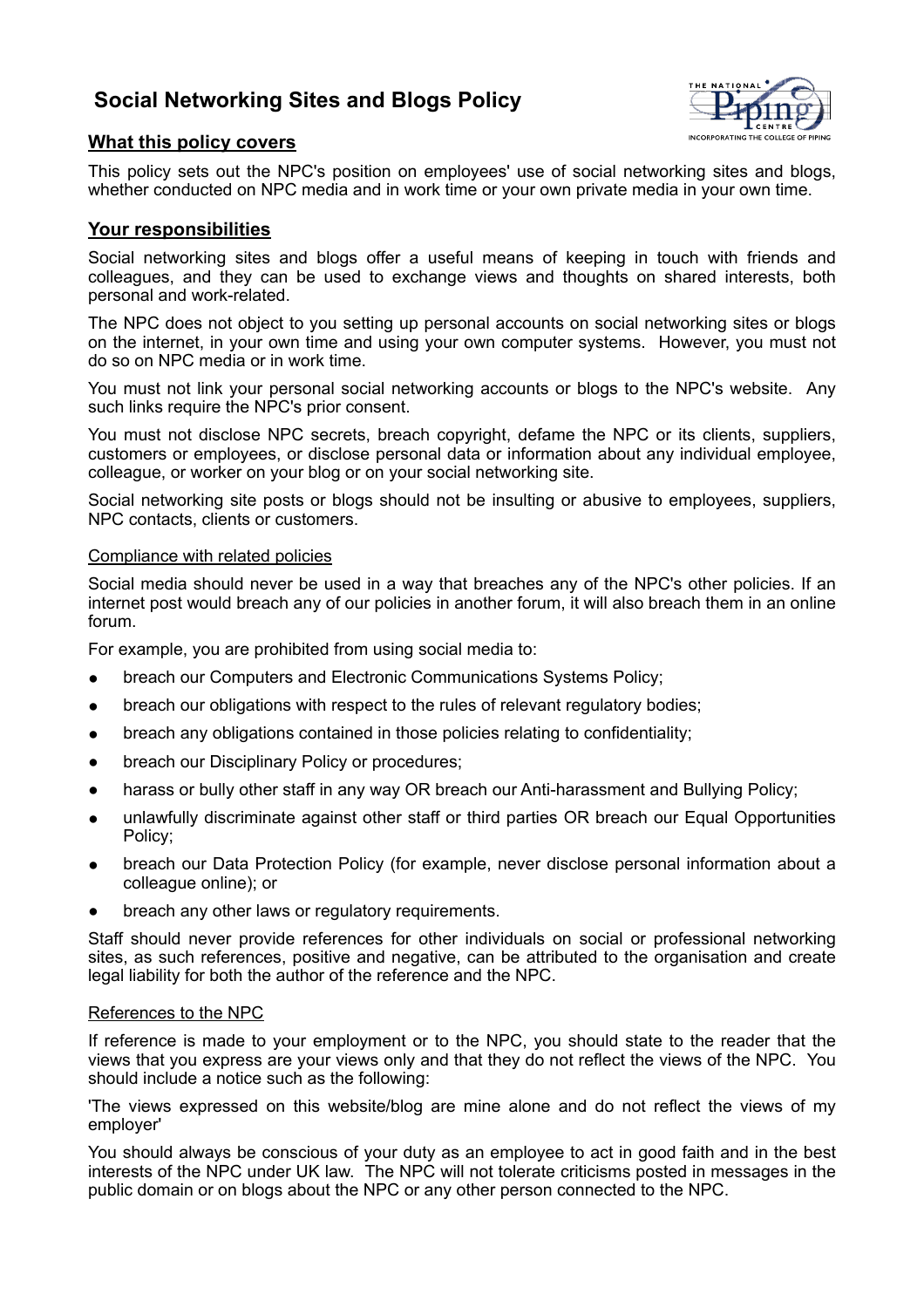# **Social Networking Sites and Blogs Policy**



## **What this policy covers**

This policy sets out the NPC's position on employees' use of social networking sites and blogs, whether conducted on NPC media and in work time or your own private media in your own time.

### **Your responsibilities**

Social networking sites and blogs offer a useful means of keeping in touch with friends and colleagues, and they can be used to exchange views and thoughts on shared interests, both personal and work-related.

The NPC does not object to you setting up personal accounts on social networking sites or blogs on the internet, in your own time and using your own computer systems. However, you must not do so on NPC media or in work time.

You must not link your personal social networking accounts or blogs to the NPC's website. Any such links require the NPC's prior consent.

You must not disclose NPC secrets, breach copyright, defame the NPC or its clients, suppliers, customers or employees, or disclose personal data or information about any individual employee, colleague, or worker on your blog or on your social networking site.

Social networking site posts or blogs should not be insulting or abusive to employees, suppliers, NPC contacts, clients or customers.

#### Compliance with related policies

Social media should never be used in a way that breaches any of the NPC's other policies. If an internet post would breach any of our policies in another forum, it will also breach them in an online forum.

For example, you are prohibited from using social media to:

- breach our Computers and Electronic Communications Systems Policy;
- breach our obligations with respect to the rules of relevant regulatory bodies;
- breach any obligations contained in those policies relating to confidentiality;
- breach our Disciplinary Policy or procedures;
- harass or bully other staff in any way OR breach our Anti-harassment and Bullying Policy;
- unlawfully discriminate against other staff or third parties OR breach our Equal Opportunities Policy;
- breach our Data Protection Policy (for example, never disclose personal information about a colleague online); or
- breach any other laws or regulatory requirements.

Staff should never provide references for other individuals on social or professional networking sites, as such references, positive and negative, can be attributed to the organisation and create legal liability for both the author of the reference and the NPC.

#### References to the NPC

If reference is made to your employment or to the NPC, you should state to the reader that the views that you express are your views only and that they do not reflect the views of the NPC. You should include a notice such as the following:

'The views expressed on this website/blog are mine alone and do not reflect the views of my employer'

You should always be conscious of your duty as an employee to act in good faith and in the best interests of the NPC under UK law. The NPC will not tolerate criticisms posted in messages in the public domain or on blogs about the NPC or any other person connected to the NPC.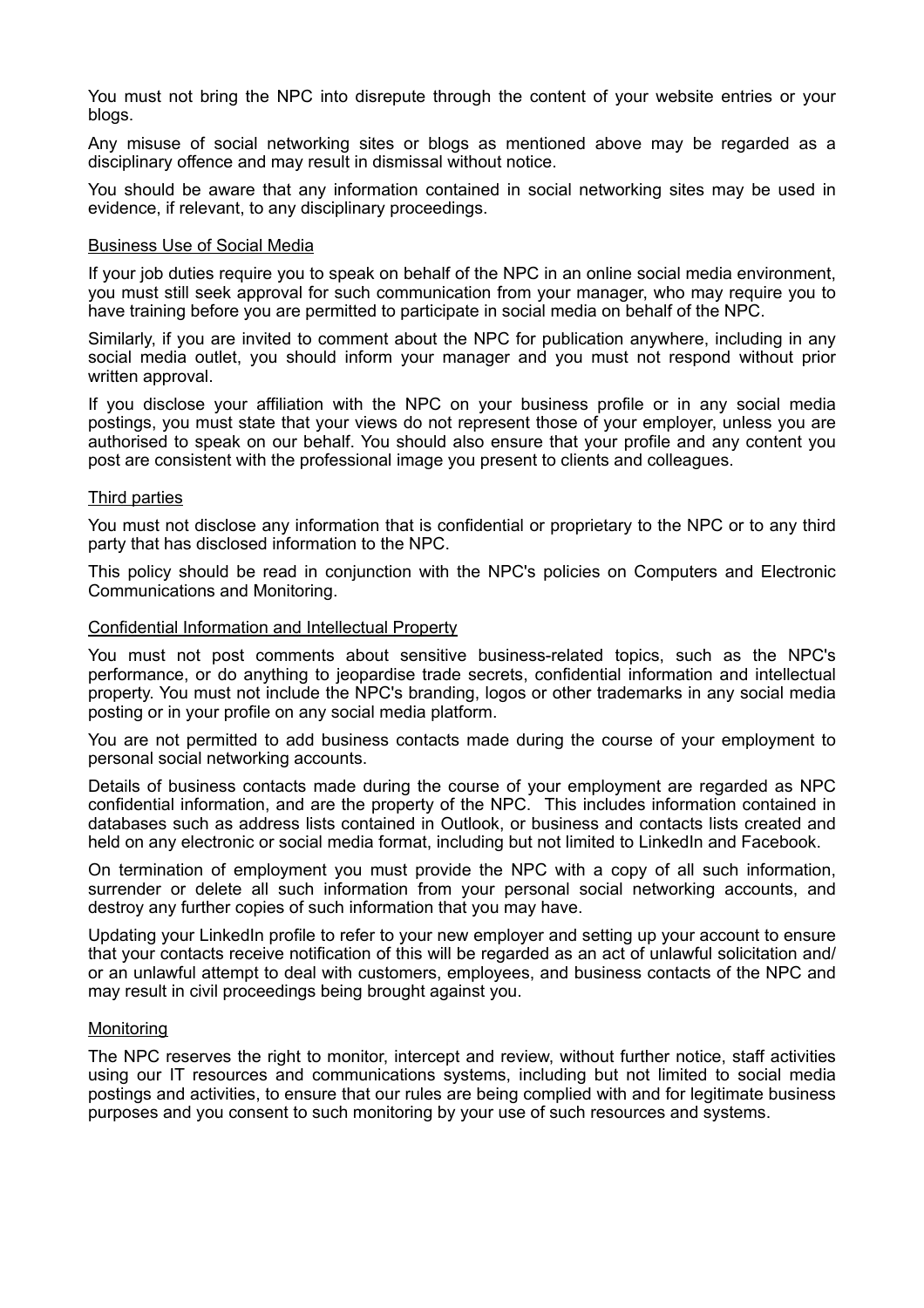You must not bring the NPC into disrepute through the content of your website entries or your blogs.

Any misuse of social networking sites or blogs as mentioned above may be regarded as a disciplinary offence and may result in dismissal without notice.

You should be aware that any information contained in social networking sites may be used in evidence, if relevant, to any disciplinary proceedings.

#### Business Use of Social Media

If your job duties require you to speak on behalf of the NPC in an online social media environment, you must still seek approval for such communication from your manager, who may require you to have training before you are permitted to participate in social media on behalf of the NPC.

Similarly, if you are invited to comment about the NPC for publication anywhere, including in any social media outlet, you should inform your manager and you must not respond without prior written approval.

If you disclose your affiliation with the NPC on your business profile or in any social media postings, you must state that your views do not represent those of your employer, unless you are authorised to speak on our behalf. You should also ensure that your profile and any content you post are consistent with the professional image you present to clients and colleagues.

#### Third parties

You must not disclose any information that is confidential or proprietary to the NPC or to any third party that has disclosed information to the NPC.

This policy should be read in conjunction with the NPC's policies on Computers and Electronic Communications and Monitoring.

#### Confidential Information and Intellectual Property

You must not post comments about sensitive business-related topics, such as the NPC's performance, or do anything to jeopardise trade secrets, confidential information and intellectual property. You must not include the NPC's branding, logos or other trademarks in any social media posting or in your profile on any social media platform.

You are not permitted to add business contacts made during the course of your employment to personal social networking accounts.

Details of business contacts made during the course of your employment are regarded as NPC confidential information, and are the property of the NPC. This includes information contained in databases such as address lists contained in Outlook, or business and contacts lists created and held on any electronic or social media format, including but not limited to LinkedIn and Facebook.

On termination of employment you must provide the NPC with a copy of all such information, surrender or delete all such information from your personal social networking accounts, and destroy any further copies of such information that you may have.

Updating your LinkedIn profile to refer to your new employer and setting up your account to ensure that your contacts receive notification of this will be regarded as an act of unlawful solicitation and/ or an unlawful attempt to deal with customers, employees, and business contacts of the NPC and may result in civil proceedings being brought against you.

#### **Monitoring**

The NPC reserves the right to monitor, intercept and review, without further notice, staff activities using our IT resources and communications systems, including but not limited to social media postings and activities, to ensure that our rules are being complied with and for legitimate business purposes and you consent to such monitoring by your use of such resources and systems.